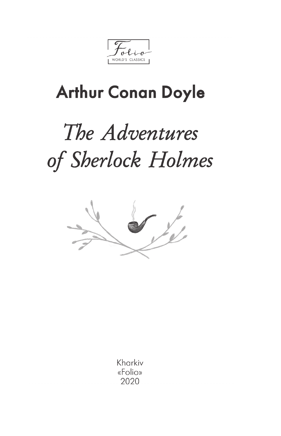WORLD'S CLASSICS

## **Arthur Conan Doyle**

## The Adventures of Sherlock Holmes



Kharkiv «Folio» 2020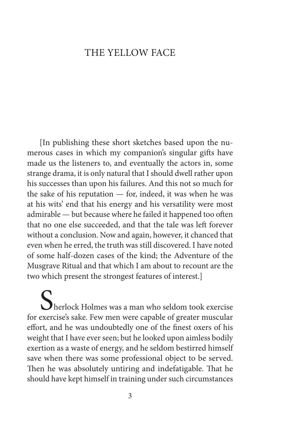## The Yellow Face

[In publishing these short sketches based upon the numerous cases in which my companion's singular gifts have made us the listeners to, and eventually the actors in, some strange drama, it is only natural that I should dwell rather upon his successes than upon his failures. And this not so much for the sake of his reputation — for, indeed, it was when he was at his wits' end that his energy and his versatility were most admirable — but because where he failed it happened too often that no one else succeeded, and that the tale was left forever without a conclusion. Now and again, however, it chanced that even when he erred, the truth was still discovered. I have noted of some half-dozen cases of the kind; the Adventure of the Musgrave Ritual and that which I am about to recount are the two which present the strongest features of interest.]

Sherlock Holmes was a man who seldom took exercise<br>for exercise's sake. Few men were capable of greater muscular effort, and he was undoubtedly one of the finest oxers of his weight that I have ever seen; but he looked upon aimless bodily exertion as a waste of energy, and he seldom bestirred himself save when there was some professional object to be served. Then he was absolutely untiring and indefatigable. That he should have kept himself in training under such circumstances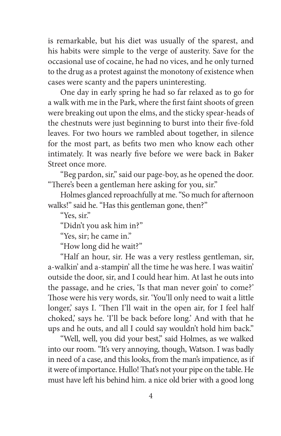is remarkable, but his diet was usually of the sparest, and his habits were simple to the verge of austerity. Save for the occasional use of cocaine, he had no vices, and he only turned to the drug as a protest against the monotony of existence when cases were scanty and the papers uninteresting.

One day in early spring he had so far relaxed as to go for a walk with me in the Park, where the first faint shoots of green were breaking out upon the elms, and the sticky spear-heads of the chestnuts were just beginning to burst into their five-fold leaves. For two hours we rambled about together, in silence for the most part, as befits two men who know each other intimately. It was nearly five before we were back in Baker Street once more.

"Beg pardon, sir," said our page-boy, as he opened the door. "There's been a gentleman here asking for you, sir."

Holmes glanced reproachfully at me. "So much for afternoon walks!" said he. "Has this gentleman gone, then?"

"Yes sir"

"Didn't you ask him in?"

"Yes, sir; he came in."

"How long did he wait?"

"Half an hour, sir. He was a very restless gentleman, sir, a-walkin' and a-stampin' all the time he was here. I was waitin' outside the door, sir, and I could hear him. At last he outs into the passage, and he cries, 'Is that man never goin' to come?' Those were his very words, sir. 'You'll only need to wait a little longer,' says I. 'Then I'll wait in the open air, for I feel half choked,' says he. 'I'll be back before long.' And with that he ups and he outs, and all I could say wouldn't hold him back."

"Well, well, you did your best," said Holmes, as we walked into our room. "It's very annoying, though, Watson. I was badly in need of a case, and this looks, from the man's impatience, as if it were of importance. Hullo! That's not your pipe on the table. He must have left his behind him. a nice old brier with a good long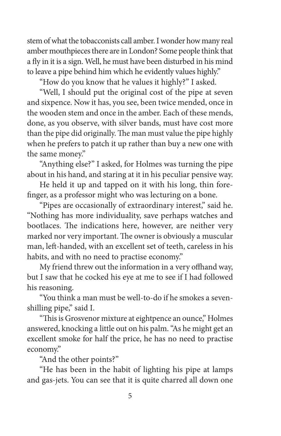stem of what the tobacconists call amber. I wonder how many real amber mouthpieces there are in London? Some people think that a fly in it is a sign. Well, he must have been disturbed in his mind to leave a pipe behind him which he evidently values highly."

"How do you know that he values it highly?" I asked.

"Well, I should put the original cost of the pipe at seven and sixpence. Now it has, you see, been twice mended, once in the wooden stem and once in the amber. Each of these mends, done, as you observe, with silver bands, must have cost more than the pipe did originally. The man must value the pipe highly when he prefers to patch it up rather than buy a new one with the same money."

"Anything else?" I asked, for Holmes was turning the pipe about in his hand, and staring at it in his peculiar pensive way.

He held it up and tapped on it with his long, thin forefinger, as a professor might who was lecturing on a bone.

"Pipes are occasionally of extraordinary interest," said he. "Nothing has more individuality, save perhaps watches and bootlaces. The indications here, however, are neither very marked nor very important. The owner is obviously a muscular man, left-handed, with an excellent set of teeth, careless in his habits, and with no need to practise economy."

My friend threw out the information in a very offhand way, but I saw that he cocked his eye at me to see if I had followed his reasoning.

"You think a man must be well-to-do if he smokes a sevenshilling pipe," said I.

"This is Grosvenor mixture at eightpence an ounce," Holmes answered, knocking a little out on his palm. "As he might get an excellent smoke for half the price, he has no need to practise economy."

"And the other points?"

"He has been in the habit of lighting his pipe at lamps and gas-jets. You can see that it is quite charred all down one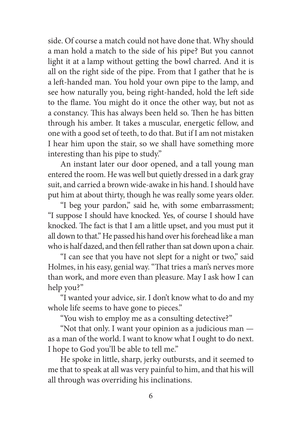side. Of course a match could not have done that. Why should a man hold a match to the side of his pipe? But you cannot light it at a lamp without getting the bowl charred. And it is all on the right side of the pipe. From that I gather that he is a left-handed man. You hold your own pipe to the lamp, and see how naturally you, being right-handed, hold the left side to the flame. You might do it once the other way, but not as a constancy. This has always been held so. Then he has bitten through his amber. It takes a muscular, energetic fellow, and one with a good set of teeth, to do that. But if I am not mistaken I hear him upon the stair, so we shall have something more interesting than his pipe to study."

An instant later our door opened, and a tall young man entered the room. He was well but quietly dressed in a dark gray suit, and carried a brown wide-awake in his hand. I should have put him at about thirty, though he was really some years older.

"I beg your pardon," said he, with some embarrassment; "I suppose I should have knocked. Yes, of course I should have knocked. The fact is that I am a little upset, and you must put it all down to that." He passed his hand over his forehead like a man who is half dazed, and then fell rather than sat down upon a chair.

"I can see that you have not slept for a night or two," said Holmes, in his easy, genial way. "That tries a man's nerves more than work, and more even than pleasure. May I ask how I can help you?"

"I wanted your advice, sir. I don't know what to do and my whole life seems to have gone to pieces."

"You wish to employ me as a consulting detective?"

"Not that only. I want your opinion as a judicious man as a man of the world. I want to know what I ought to do next. I hope to God you'll be able to tell me."

He spoke in little, sharp, jerky outbursts, and it seemed to me that to speak at all was very painful to him, and that his will all through was overriding his inclinations.